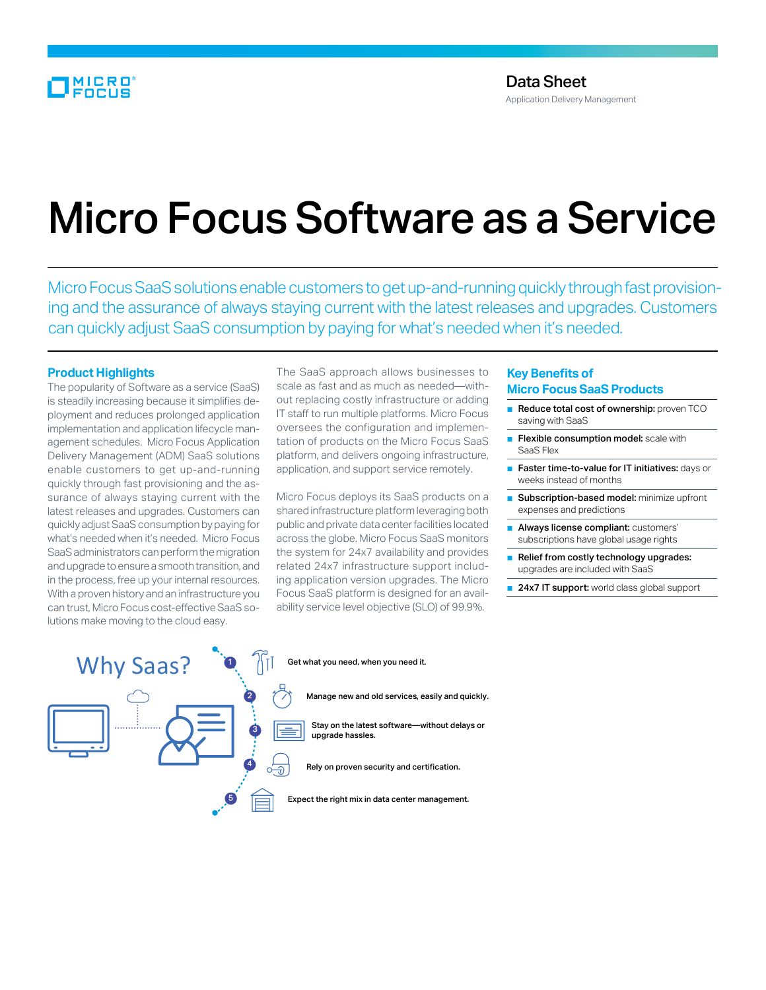## MICRO

# Micro Focus Software as a Service

Micro Focus SaaS solutions enable customers to get up-and-running quickly through fast provisioning and the assurance of always staying current with the latest releases and upgrades. Customers can quickly adjust SaaS consumption by paying for what's needed when it's needed.

#### **Product Highlights**

The popularity of Software as a service (SaaS) is steadily increasing because it simplifies deployment and reduces prolonged application implementation and application lifecycle management schedules. Micro Focus Application Delivery Management (ADM) SaaS solutions enable customers to get up-and-running quickly through fast provisioning and the assurance of always staying current with the latest releases and upgrades. Customers can quickly adjust SaaS consumption by paying for what's needed when it's needed. Micro Focus SaaS administrators can perform the migration and upgrade to ensure a smooth transition, and in the process, free up your internal resources. With a proven history and an infrastructure you can trust, Micro Focus cost-effective SaaS solutions make moving to the cloud easy.

The SaaS approach allows businesses to scale as fast and as much as needed—without replacing costly infrastructure or adding IT staff to run multiple platforms. Micro Focus oversees the configuration and implementation of products on the Micro Focus SaaS platform, and delivers ongoing infrastructure, application, and support service remotely.

Micro Focus deploys its SaaS products on a shared infrastructure platform leveraging both public and private data center facilities located across the globe. Micro Focus SaaS monitors the system for 24x7 availability and provides related 24x7 infrastructure support including application version upgrades. The Micro Focus SaaS platform is designed for an availability service level objective (SLO) of 99.9%.

### **Key Benefits of Micro Focus SaaS Products**

- Reduce total cost of ownership: proven TCO saving with SaaS
- Flexible consumption model: scale with SaaS Flex
- Faster time-to-value for IT initiatives: days or weeks instead of months
- Subscription-based model: minimize upfront expenses and predictions
- Always license compliant: customers' subscriptions have global usage rights
- Relief from costly technology upgrades: upgrades are included with SaaS
- 24x7 IT support: world class global support